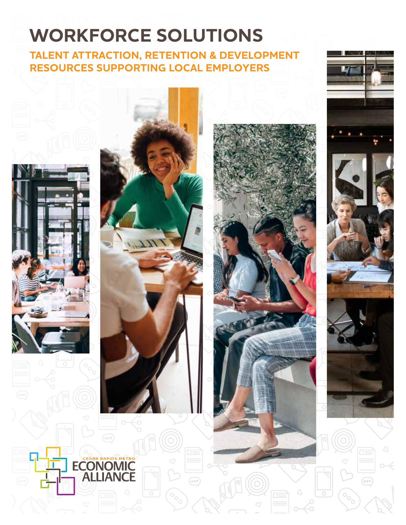# **WORKFORCE SOLUTIONS**

**TALENT ATTRACTION, RETENTION & DEVELOPMENT RESOURCES SUPPORTING LOCAL EMPLOYERS**





**ECONOMIC** 

**JANCE** 



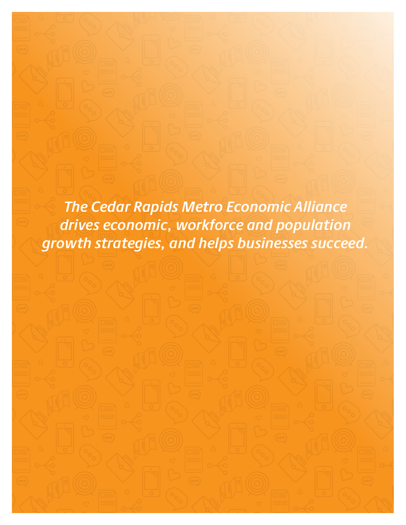*The Cedar Rapids Metro Economic Alliance drives economic, workforce and population growth strategies, and helps businesses succeed.*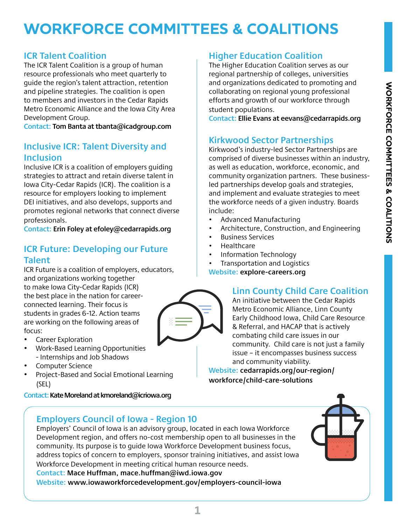### **WORKFORCE COMMITTEES & COALITIONS**

### **ICR Talent Coalition**

The ICR Talent Coalition is a group of human resource professionals who meet quarterly to guide the region's talent attraction, retention and pipeline strategies. The coalition is open to members and investors in the Cedar Rapids Metro Economic Alliance and the Iowa City Area Development Group.

**Contact: Tom Banta at tbanta@icadgroup.com**

### **Inclusive ICR: Talent Diversity and Inclusion**

Inclusive ICR is a coalition of employers guiding strategies to attract and retain diverse talent in Iowa City-Cedar Rapids (ICR). The coalition is a resource for employers looking to implement DEI initiatives, and also develops, supports and promotes regional networks that connect diverse professionals.

**Contact: Erin Foley at efoley@cedarrapids.org**

### **ICR Future: Developing our Future Talent**

ICR Future is a coalition of employers, educators, and organizations working together to make Iowa City-Cedar Rapids (ICR) the best place in the nation for careerconnected learning. Their focus is students in grades 6-12. Action teams are working on the following areas of focus:

- Career Exploration
- Work-Based Learning Opportunities - Internships and Job Shadows
- Computer Science
- Project-Based and Social Emotional Learning (SEL)

**Contact: Kate Moreland at kmoreland@icriowa.org**

### **Employers Council of Iowa - Region 10**

Employers' Council of Iowa is an advisory group, located in each Iowa Workforce Development region, and offers no-cost membership open to all businesses in the community. Its purpose is to guide Iowa Workforce Development business focus, address topics of concern to employers, sponsor training initiatives, and assist Iowa Workforce Development in meeting critical human resource needs.

**Contact: Mace Huffman, mace.huffman@iwd.iowa.gov Website: www.iowaworkforcedevelopment.gov/employers-council-iowa**

### **Higher Education Coalition**

The Higher Education Coalition serves as our regional partnership of colleges, universities and organizations dedicated to promoting and collaborating on regional young professional efforts and growth of our workforce through student populations.

**Contact: Ellie Evans at eevans@cedarrapids.org**

### **Kirkwood Sector Partnerships**

Kirkwood's industry-led Sector Partnerships are comprised of diverse businesses within an industry, as well as education, workforce, economic, and community organization partners. These businessled partnerships develop goals and strategies, and implement and evaluate strategies to meet the workforce needs of a given industry. Boards include:

- Advanced Manufacturing
- Architecture, Construction, and Engineering
- Business Services
- Healthcare
- Information Technology
- Transportation and Logistics

**Website: explore-careers.org**

### **Linn County Child Care Coalition**

An initiative between the Cedar Rapids Metro Economic Alliance, Linn County Early Childhood Iowa, Child Care Resource & Referral, and HACAP that is actively combating child care issues in our community. Child care is not just a family issue – it encompasses business success and community viability.

**Website: cedarrapids.org/our-region/ workforce/child-care-solutions**





**1**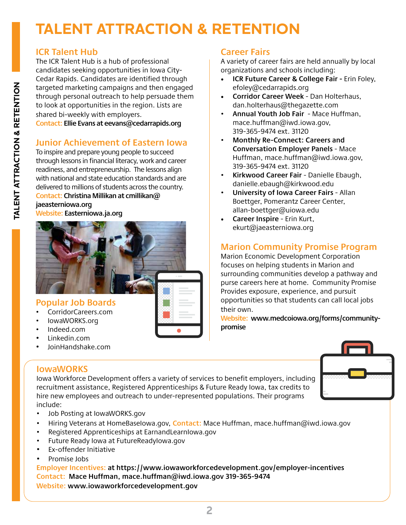# **TALENT ATTRACTION & RETENTION**

### **ICR Talent Hub**

The ICR Talent Hub is a hub of professional candidates seeking opportunities in Iowa City-Cedar Rapids. Candidates are identified through targeted marketing campaigns and then engaged through personal outreach to help persuade them to look at opportunities in the region. Lists are shared bi-weekly with employers.

**Contact: Ellie Evans at eevans@cedarrapids.org**

### **Junior Achievement of Eastern Iowa**

To inspire and prepare young people to succeed through lessons in financial literacy, work and career readiness, and entrepreneurship. The lessons align with national and state education standards and are delivered to millions of students across the country.

#### **Contact: Christina Millikan at cmillikan@ jaeasterniowa.org**





### **Popular Job Boards**

- CorridorCareers.com
- IowaWORKS.org
- Indeed.com
- Linkedin.com
- JoinHandshake.com

### **IowaWORKS**

Iowa Workforce Development offers a variety of services to benefit employers, including recruitment assistance, Registered Apprenticeships & Future Ready Iowa, tax credits to hire new employees and outreach to under-represented populations. Their programs include:



- Job Posting at IowaWORKS.gov
- Hiring Veterans at HomeBaseIowa.gov, **Contact:** Mace Huffman, mace.huffman@iwd.iowa.gov
- Registered Apprenticeships at EarnandLearnIowa.gov
- Future Ready Iowa at FutureReadyIowa.gov
- Ex-offender Initiative
- Promise Jobs

**Employer Incentives: at https://www.iowaworkforcedevelopment.gov/employer-incentives Contact: Mace Huffman, mace.huffman@iwd.iowa.gov 319-365-9474 Website: www.iowaworkforcedevelopment.gov** 

### **Career Fairs**

A variety of career fairs are held annually by local organizations and schools including:

- **ICR Future Career & College Fair** Erin Foley, efoley@cedarrapids.org
- **Corridor Career Week** Dan Holterhaus, dan.holterhaus@thegazette.com
- **Annual Youth Job Fair** Mace Huffman, mace.huffman@iwd.iowa.gov, 319-365-9474 ext. 31120
- **Monthly Re-Connect: Careers and Conversation Employer Panels** - Mace Huffman, mace.huffman@iwd.iowa.gov, 319-365-9474 ext. 31120
- **Kirkwood Career Fair** Danielle Ebaugh, danielle.ebaugh@kirkwood.edu
- **University of Iowa Career Fairs**  Allan Boettger, Pomerantz Career Center, allan-boettger@uiowa.edu
- **Career Inspire** Erin Kurt, ekurt@jaeasterniowa.org

### **Marion Community Promise Program**

Marion Economic Development Corporation focuses on helping students in Marion and surrounding communities develop a pathway and purse careers here at home. Community Promise Provides exposure, experience, and pursuit opportunities so that students can call local jobs their own.

**Website: www.medcoiowa.org/forms/communitypromise**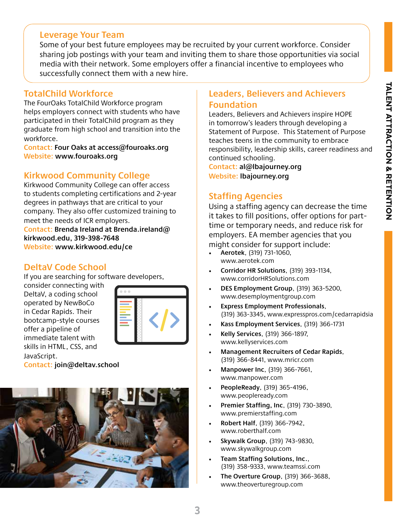### **Leverage Your Team**

Some of your best future employees may be recruited by your current workforce. Consider sharing job postings with your team and inviting them to share those opportunities via social media with their network. Some employers offer a financial incentive to employees who successfully connect them with a new hire.

### **TotalChild Workforce**

The FourOaks TotalChild Workforce program helps employers connect with students who have participated in their TotalChild program as they graduate from high school and transition into the workforce.

**Contact: Four Oaks at access@fouroaks.org Website: www.fouroaks.org**

### **Kirkwood Community College**

Kirkwood Community College can offer access to students completing certifications and 2-year degrees in pathways that are critical to your company. They also offer customized training to meet the needs of ICR employers.

**Contact: Brenda Ireland at Brenda.ireland@ kirkwood.edu, 319-398-7648 Website: www.kirkwood.edu/ce**

### **DeltaV Code School**

If you are searching for software developers,

consider connecting with DeltaV, a coding school operated by NewBoCo in Cedar Rapids. Their bootcamp-style courses offer a pipeline of immediate talent with skills in HTML, CSS, and JavaScript.



**Contact: join@deltav.school**



### **Leaders, Believers and Achievers Foundation**

Leaders, Believers and Achievers inspire HOPE in tomorrow's leaders through developing a Statement of Purpose. This Statement of Purpose teaches teens in the community to embrace responsibility, leadership skills, career readiness and continued schooling.

**Contact: al@lbajourney.org Website: lbajourney.org**

### **Staffing Agencies**

Using a staffing agency can decrease the time it takes to fill positions, offer options for parttime or temporary needs, and reduce risk for employers. EA member agencies that you might consider for support include:

- **Aerotek**, (319) 731-1060, www.aerotek.com
- **Corridor HR Solutions**, (319) 393-1134, www.corridorHRSolutions.com
- **DES Employment Group**, (319) 363-5200, www.desemploymentgroup.com
- **Express Employment Professionals**, (319) 363-3345, www.expresspros.com/cedarrapidsia
- **Kass Employment Services**, (319) 366-1731
- **Kelly Services**, (319) 366-1897, www.kellyservices.com
- **Management Recruiters of Cedar Rapids**, (319) 366-8441, www.mricr.com
- **Manpower Inc**, (319) 366-7661, www.manpower.com
- **PeopleReady**, (319) 365-4196, www.peopleready.com
- **Premier Staffing, Inc**, (319) 730-3890, www.premierstaffing.com
- **Robert Half**, (319) 366-7942, www.roberthalf.com
- **Skywalk Group**, (319) 743-9830, www.skywalkgroup.com
- **Team Staffing Solutions, Inc.**, (319) 358-9333, www.teamssi.com
- **The Overture Group**, (319) 366-3688, www.theoverturegroup.com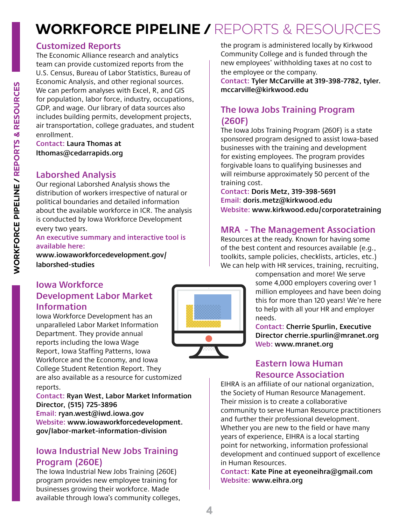### **WORKFORCE PIPELINE /** REPORTS & RESOURCES

### **Customized Reports**

The Economic Alliance research and analytics team can provide customized reports from the U.S. Census, Bureau of Labor Statistics, Bureau of Economic Analysis, and other regional sources. We can perform analyses with Excel, R, and GIS for population, labor force, industry, occupations, GDP, and wage. Our library of data sources also includes building permits, development projects, air transportation, college graduates, and student enrollment.

**Contact: Laura Thomas at lthomas@cedarrapids.org** 

### **Laborshed Analysis**

Our regional Laborshed Analysis shows the distribution of workers irrespective of natural or political boundaries and detailed information about the available workforce in ICR. The analysis is conducted by Iowa Workforce Development every two years.

#### **An executive summary and interactive tool is available here:**

**www.iowaworkforcedevelopment.gov/ laborshed-studies**

### **Iowa Workforce Development Labor Market Information**

Iowa Workforce Development has an unparalleled Labor Market Information Department. They provide annual reports including the Iowa Wage Report, Iowa Staffing Patterns, Iowa Workforce and the Economy, and Iowa College Student Retention Report. They are also available as a resource for customized

reports. **Contact: Ryan West, Labor Market Information Director, (515) 725-3896 Email: ryan.west@iwd.iowa.gov Website: www.iowaworkforcedevelopment. gov/labor-market-information-division** 

### **Iowa Industrial New Jobs Training Program (260E)**

The Iowa Industrial New Jobs Training (260E) program provides new employee training for businesses growing their workforce. Made available through Iowa's community colleges,



the program is administered locally by Kirkwood Community College and is funded through the new employees' withholding taxes at no cost to the employee or the company.

**Contact: Tyler McCarville at 319-398-7782, tyler. mccarville@kirkwood.edu** 

### **The Iowa Jobs Training Program (260F)**

The Iowa Jobs Training Program (260F) is a state sponsored program designed to assist Iowa-based businesses with the training and development for existing employees. The program provides forgivable loans to qualifying businesses and will reimburse approximately 50 percent of the training cost.

**Contact: Doris Metz, 319-398-5691 Email: doris.metz@kirkwood.edu Website: www.kirkwood.edu/corporatetraining** 

### **MRA - The Management Association**

Resources at the ready. Known for having some of the best content and resources available (e.g., toolkits, sample policies, checklists, articles, etc.) We can help with HR services, training, recruiting,

> compensation and more! We serve some 4,000 employers covering over 1 million employees and have been doing this for more than 120 years! We're here to help with all your HR and employer needs.

**Contact: Cherrie Spurlin, Executive Director cherrie.spurlin@mranet.org Web: www.mranet.org**

### **Eastern Iowa Human Resource Association**

EIHRA is an affiliate of our national organization, the Society of Human Resource Management. Their mission is to create a collaborative community to serve Human Resource practitioners and further their professional development. Whether you are new to the field or have many years of experience, EIHRA is a local starting point for networking, information professional development and continued support of excellence in Human Resources.

**Contact: Kate Pine at eyeoneihra@gmail.com Website: www.eihra.org**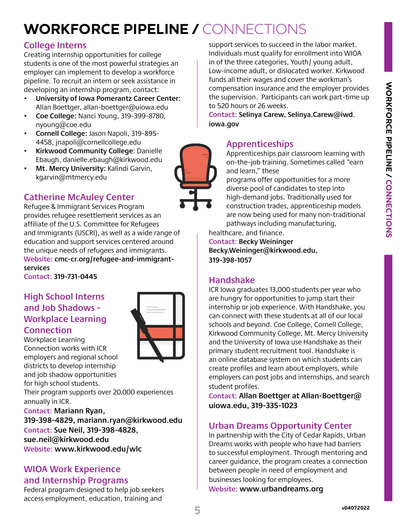# **WORKFORCE PIPELINE /** CONNECTIONS

### **College Interns**

Creating internship opportunities for college students is one of the most powerful strategies an employer can implement to develop a workforce pipeline. To recruit an intern or seek assistance in developing an internship program, contact:

- **University of Iowa Pomerantz Career Center:**  Allan Boettger, allan-boettger@uiowa.edu
- **Coe College:** Nanci Young, 319-399-8780, nyoung@coe.edu
- **Cornell College:** Jason Napoli, 319-895- 4458, jnapoli@cornellcollege.edu
- **Kirkwood Community College**: Danielle Ebaugh, danielle.ebaugh@kirkwood.edu
- **• Mt. Mercy University:** Kalindi Garvin, kgarvin@mtmercy.edu

### **Catherine McAuley Center**

Refugee & Immigrant Services Program provides refugee resettlement services as an affiliate of the U.S. Committee for Refugees and Immigrants (USCRI), as well as a wide range of education and support services centered around the unique needs of refugees and immigrants. **Website: cmc-cr.org/refugee-and-immigrantservices**

**Contact: 319-731-0445**

### **High School Interns and Job Shadows - Workplace Learning Connection**

Workplace Learning Connection works with ICR employers and regional school districts to develop internship and job shadow opportunities for high school students.

Their program supports over 20,000 experiences annually in ICR.

**Contact: Mariann Ryan,** 

**319-398-4829, mariann.ryan@kirkwood.edu Contact: Sue Neil, 319-398-4828, sue.neil@kirkwood.edu**

### **Website: www.kirkwood.edu/wlc**

### **WIOA Work Experience**

### **and Internship Programs**

Federal program designed to help job seekers access employment, education, training and

support services to succeed in the labor market. Individuals must qualify for enrollment into WIOA in of the three categories, Youth/ young adult, Low-income adult, or dislocated worker. Kirkwood funds all their wages and cover the workman's compensation insurance and the employer provides the supervision. Participants can work part-time up to 520 hours or 26 weeks.

**Contact: Selinya Carew, Selinya.Carew@iwd. iowa.gov**

### **Apprenticeships**

Apprenticeships pair classroom learning with on-the-job training. Sometimes called "earn and learn," these

programs offer opportunities for a more diverse pool of candidates to step into high-demand jobs. Traditionally used for construction trades, apprenticeship models are now being used for many non-traditional pathways including manufacturing,

healthcare, and finance. **Contact: Becky Weininger Becky.Weininger@kirkwood.edu, 319-398-1057**

### **Handshake**

ICR Iowa graduates 13,000 students per year who are hungry for opportunities to jump start their internship or job experience. With Handshake, you can connect with these students at all of our local schools and beyond. Coe College, Cornell College, Kirkwood Community College, Mt. Mercy University and the University of Iowa use Handshake as their primary student recruitment tool. Handshake is an online database system on which students can create profiles and learn about employers, while employers can post jobs and internships, and search student profiles.

**Contact: Allan Boettger at Allan-Boettger@ uiowa.edu, 319-335-1023**

### **Urban Dreams Opportunity Center**

In partnership with the City of Cedar Rapids, Urban Dreams works with people who have had barriers to successful employment. Through mentoring and career guidance, the program creates a connection between people in need of employment and businesses looking for employees. **Website: www.urbandreams.org**